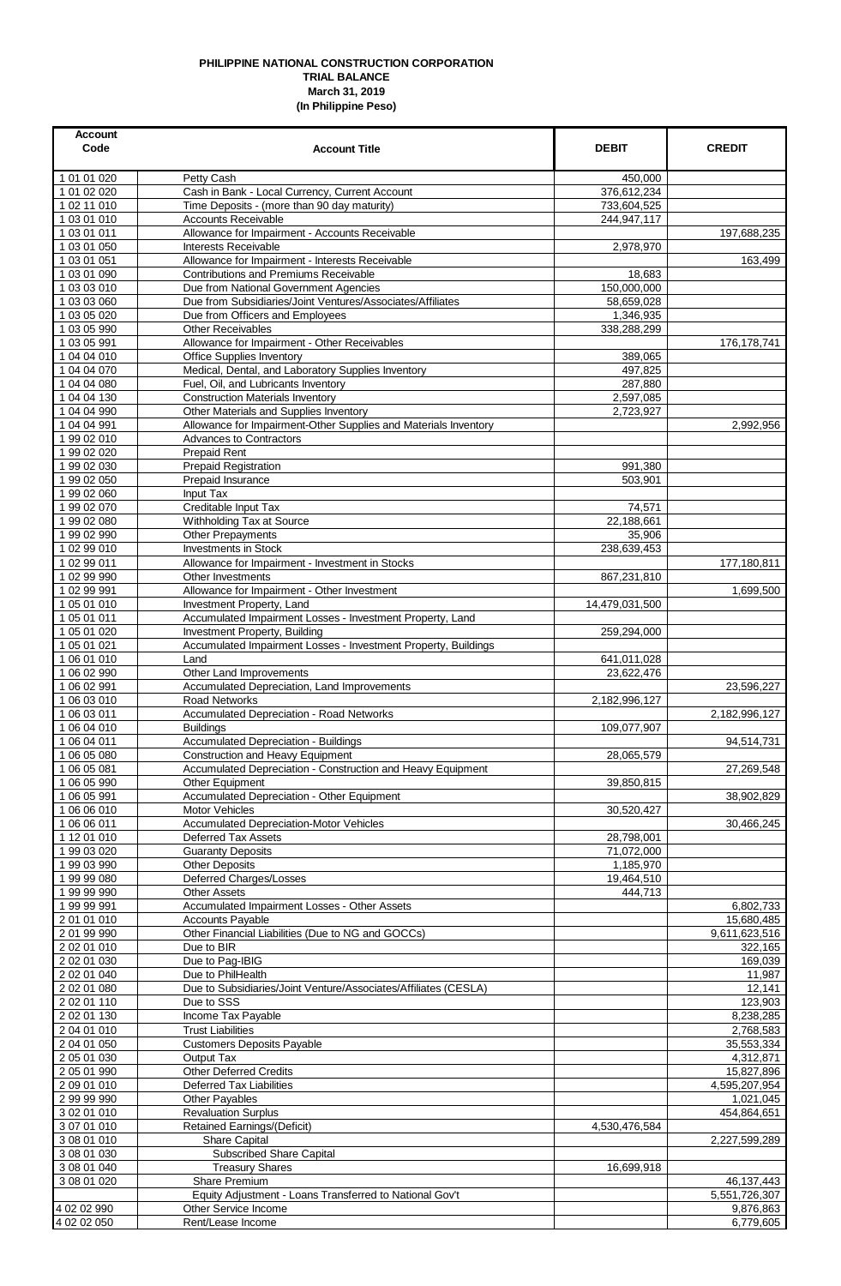## **PHILIPPINE NATIONAL CONSTRUCTION CORPORATION TRIAL BALANCE March 31, 2019 (In Philippine Peso)**

| <b>Account</b><br>Code     | <b>Account Title</b>                                                                              | <b>DEBIT</b>              | <b>CREDIT</b>               |
|----------------------------|---------------------------------------------------------------------------------------------------|---------------------------|-----------------------------|
| 1 01 01 020                | Petty Cash                                                                                        | 450,000                   |                             |
| 1 01 02 020                | Cash in Bank - Local Currency, Current Account                                                    | 376,612,234               |                             |
| 1 02 11 010                | Time Deposits - (more than 90 day maturity)                                                       | 733,604,525               |                             |
| 1 03 01 010<br>1 03 01 011 | <b>Accounts Receivable</b><br>Allowance for Impairment - Accounts Receivable                      | 244,947,117               |                             |
| 1 03 01 050                | Interests Receivable                                                                              | 2,978,970                 | 197,688,235                 |
| 1 03 01 051                | Allowance for Impairment - Interests Receivable                                                   |                           | 163.499                     |
| 1 03 01 090                | Contributions and Premiums Receivable                                                             | 18,683                    |                             |
| 1 03 03 010                | Due from National Government Agencies                                                             | 150,000,000               |                             |
| 1 03 03 060                | Due from Subsidiaries/Joint Ventures/Associates/Affiliates                                        | 58,659,028                |                             |
| 1 03 05 020<br>1 03 05 990 | Due from Officers and Employees<br><b>Other Receivables</b>                                       | 1,346,935<br>338,288,299  |                             |
| 1 03 05 991                | Allowance for Impairment - Other Receivables                                                      |                           | 176,178,741                 |
| 1 04 04 010                | <b>Office Supplies Inventory</b>                                                                  | 389,065                   |                             |
| 1 04 04 070                | Medical, Dental, and Laboratory Supplies Inventory                                                | 497,825                   |                             |
| 1 04 04 080                | Fuel, Oil, and Lubricants Inventory                                                               | 287,880                   |                             |
| 1 04 04 130                | <b>Construction Materials Inventory</b>                                                           | 2,597,085                 |                             |
| 1 04 04 990                | Other Materials and Supplies Inventory                                                            | 2,723,927                 |                             |
| 1 04 04 991<br>1 99 02 010 | Allowance for Impairment-Other Supplies and Materials Inventory<br><b>Advances to Contractors</b> |                           | 2,992,956                   |
| 1 99 02 020                | <b>Prepaid Rent</b>                                                                               |                           |                             |
| 1 99 02 030                | <b>Prepaid Registration</b>                                                                       | 991,380                   |                             |
| 1 99 02 050                | Prepaid Insurance                                                                                 | 503,901                   |                             |
| 1 99 02 060                | Input Tax                                                                                         |                           |                             |
| 1 99 02 070                | Creditable Input Tax                                                                              | 74,571                    |                             |
| 1 99 02 080                | Withholding Tax at Source                                                                         | 22,188,661                |                             |
| 1 99 02 990<br>1 02 99 010 | Other Prepayments<br><b>Investments in Stock</b>                                                  | 35,906<br>238,639,453     |                             |
| 1 02 99 011                | Allowance for Impairment - Investment in Stocks                                                   |                           | 177,180,811                 |
| 1 02 99 990                | Other Investments                                                                                 | 867,231,810               |                             |
| 1 02 99 991                | Allowance for Impairment - Other Investment                                                       |                           | 1,699,500                   |
| 1 05 01 010                | Investment Property, Land                                                                         | 14,479,031,500            |                             |
| 1 05 01 011                | Accumulated Impairment Losses - Investment Property, Land                                         |                           |                             |
| 1 05 01 020                | Investment Property, Building                                                                     | 259,294,000               |                             |
| 1 05 01 021<br>1 06 01 010 | Accumulated Impairment Losses - Investment Property, Buildings                                    |                           |                             |
| 1 06 02 990                | Land<br>Other Land Improvements                                                                   | 641,011,028<br>23,622,476 |                             |
| 1 06 02 991                | Accumulated Depreciation, Land Improvements                                                       |                           | 23,596,227                  |
| 1 06 03 010                | <b>Road Networks</b>                                                                              | 2,182,996,127             |                             |
| 1 06 03 011                | Accumulated Depreciation - Road Networks                                                          |                           | 2,182,996,127               |
| 1 06 04 010                | <b>Buildings</b>                                                                                  | 109,077,907               |                             |
| 1 06 04 011                | <b>Accumulated Depreciation - Buildings</b>                                                       |                           | 94,514,731                  |
| 1 06 05 080<br>1 06 05 081 | Construction and Heavy Equipment<br>Accumulated Depreciation - Construction and Heavy Equipment   | 28,065,579                | 27,269,548                  |
| 1 06 05 990                | Other Equipment                                                                                   | 39,850,815                |                             |
| 1 06 05 991                | Accumulated Depreciation - Other Equipment                                                        |                           | 38,902,829                  |
| 1 06 06 010                | Motor Vehicles                                                                                    | 30,520,427                |                             |
| 1 06 06 011                | <b>Accumulated Depreciation-Motor Vehicles</b>                                                    |                           | 30,466,245                  |
| 1 12 01 010                | Deferred Tax Assets                                                                               | 28,798,001                |                             |
| 199 03 020                 | <b>Guaranty Deposits</b>                                                                          | 71,072,000                |                             |
| 1 99 03 990<br>19999080    | <b>Other Deposits</b><br>Deferred Charges/Losses                                                  | 1,185,970<br>19,464,510   |                             |
| 19999990                   | <b>Other Assets</b>                                                                               | 444,713                   |                             |
| 1 99 99 991                | Accumulated Impairment Losses - Other Assets                                                      |                           | 6,802,733                   |
| 2 01 01 010                | <b>Accounts Payable</b>                                                                           |                           | 15,680,485                  |
| 2 01 99 990                | Other Financial Liabilities (Due to NG and GOCCs)                                                 |                           | 9,611,623,516               |
| 2 02 01 010                | Due to BIR                                                                                        |                           | 322,165                     |
| 2 02 01 030<br>2 02 01 040 | Due to Pag-IBIG<br>Due to PhilHealth                                                              |                           | 169,039<br>11,987           |
| 2 02 01 080                | Due to Subsidiaries/Joint Venture/Associates/Affiliates (CESLA)                                   |                           | 12,141                      |
| 2 02 01 110                | Due to SSS                                                                                        |                           | 123,903                     |
| 2 02 01 130                | Income Tax Payable                                                                                |                           | 8,238,285                   |
| 2 04 01 010                | <b>Trust Liabilities</b>                                                                          |                           | 2,768,583                   |
| 2 04 01 050                | <b>Customers Deposits Payable</b>                                                                 |                           | 35,553,334                  |
| 2 05 01 030                | Output Tax                                                                                        |                           | 4,312,871                   |
| 2 05 01 990<br>2 09 01 010 | Other Deferred Credits<br><b>Deferred Tax Liabilities</b>                                         |                           | 15,827,896<br>4,595,207,954 |
| 2 99 99 990                | Other Payables                                                                                    |                           | 1,021,045                   |
| 3 02 01 010                | <b>Revaluation Surplus</b>                                                                        |                           | 454,864,651                 |
| 3 07 01 010                | Retained Earnings/(Deficit)                                                                       | 4,530,476,584             |                             |
| 3 08 01 010                | <b>Share Capital</b>                                                                              |                           | 2,227,599,289               |
| 3 08 01 030                | Subscribed Share Capital                                                                          |                           |                             |
| 3 08 01 040                | <b>Treasury Shares</b>                                                                            | 16,699,918                |                             |
| 3 08 01 020                | Share Premium<br>Equity Adjustment - Loans Transferred to National Gov't                          |                           | 46,137,443<br>5,551,726,307 |
| 4 02 02 990                | Other Service Income                                                                              |                           | 9,876,863                   |
| 4 02 02 050                | Rent/Lease Income                                                                                 |                           | 6,779,605                   |